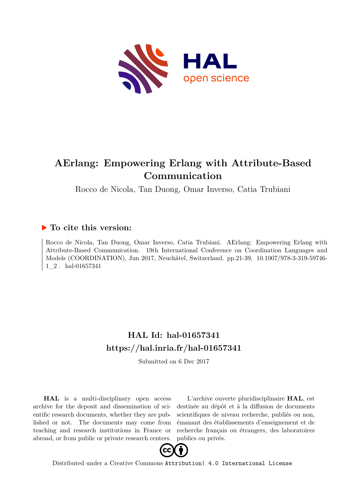

# **AErlang: Empowering Erlang with Attribute-Based Communication**

Rocco de Nicola, Tan Duong, Omar Inverso, Catia Trubiani

# **To cite this version:**

Rocco de Nicola, Tan Duong, Omar Inverso, Catia Trubiani. AErlang: Empowering Erlang with Attribute-Based Communication. 19th International Conference on Coordination Languages and Models (COORDINATION), Jun 2017, Neuchâtel, Switzerland. pp.21-39, 10.1007/978-3-319-59746-1 2. hal-01657341

# **HAL Id: hal-01657341 <https://hal.inria.fr/hal-01657341>**

Submitted on 6 Dec 2017

**HAL** is a multi-disciplinary open access archive for the deposit and dissemination of scientific research documents, whether they are published or not. The documents may come from teaching and research institutions in France or abroad, or from public or private research centers.

L'archive ouverte pluridisciplinaire **HAL**, est destinée au dépôt et à la diffusion de documents scientifiques de niveau recherche, publiés ou non, émanant des établissements d'enseignement et de recherche français ou étrangers, des laboratoires publics ou privés.



Distributed under a Creative Commons [Attribution| 4.0 International License](http://creativecommons.org/licenses/by/4.0/)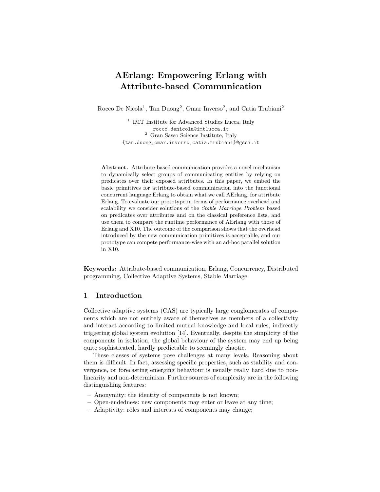# **AErlang: Empowering Erlang with Attribute-based Communication**

Rocco De Nicola<sup>1</sup>, Tan Duong<sup>2</sup>, Omar Inverso<sup>2</sup>, and Catia Trubiani<sup>2</sup>

<sup>1</sup> IMT Institute for Advanced Studies Lucca, Italy rocco.denicola@imtlucca.it <sup>2</sup> Gran Sasso Science Institute, Italy {tan.duong,omar.inverso,catia.trubiani}@gssi.it

**Abstract.** Attribute-based communication provides a novel mechanism to dynamically select groups of communicating entities by relying on predicates over their exposed attributes. In this paper, we embed the basic primitives for attribute-based communication into the functional concurrent language Erlang to obtain what we call AErlang, for attribute Erlang. To evaluate our prototype in terms of performance overhead and scalability we consider solutions of the *Stable Marriage Problem* based on predicates over attributes and on the classical preference lists, and use them to compare the runtime performance of AErlang with those of Erlang and X10. The outcome of the comparison shows that the overhead introduced by the new communication primitives is acceptable, and our prototype can compete performance-wise with an ad-hoc parallel solution in X10.

**Keywords:** Attribute-based communication, Erlang, Concurrency, Distributed programming, Collective Adaptive Systems, Stable Marriage.

# **1 Introduction**

Collective adaptive systems (CAS) are typically large conglomerates of components which are not entirely aware of themselves as members of a collectivity and interact according to limited mutual knowledge and local rules, indirectly triggering global system evolution [14]. Eventually, despite the simplicity of the components in isolation, the global behaviour of the system may end up being quite sophisticated, hardly predictable to seemingly chaotic.

These classes of systems pose challenges at many levels. Reasoning about them is difficult. In fact, assessing specific properties, such as stability and convergence, or forecasting emerging behaviour is usually really hard due to nonlinearity and non-determinism. Further sources of complexity are in the following distinguishing features:

- **–** Anonymity: the identity of components is not known;
- **–** Open-endedness: new components may enter or leave at any time;
- **–** Adaptivity: rôles and interests of components may change;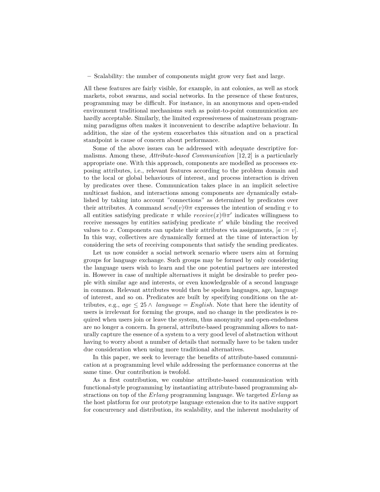**–** Scalability: the number of components might grow very fast and large.

All these features are fairly visible, for example, in ant colonies, as well as stock markets, robot swarms, and social networks. In the presence of these features, programming may be difficult. For instance, in an anonymous and open-ended environment traditional mechanisms such as point-to-point communication are hardly acceptable. Similarly, the limited expressiveness of mainstream programming paradigms often makes it inconvenient to describe adaptive behaviour. In addition, the size of the system exacerbates this situation and on a practical standpoint is cause of concern about performance.

Some of the above issues can be addressed with adequate descriptive formalisms. Among these, *Attribute-based Communication* [12, 2] is a particularly appropriate one. With this approach, components are modelled as processes exposing attributes, i.e., relevant features according to the problem domain and to the local or global behaviours of interest, and process interaction is driven by predicates over these. Communication takes place in an implicit selective multicast fashion, and interactions among components are dynamically established by taking into account "connections" as determined by predicates over their attributes. A command  $send(v)@ \pi$  expresses the intention of sending *v* to all entities satisfying predicate  $\pi$  while  $receive(x) \mathcal{Q} \pi'$  indicates willingness to receive messages by entities satisfying predicate  $\pi'$  while binding the received values to x. Components can update their attributes via assignments,  $[a := v]$ . In this way, collectives are dynamically formed at the time of interaction by considering the sets of receiving components that satisfy the sending predicates.

Let us now consider a social network scenario where users aim at forming groups for language exchange. Such groups may be formed by only considering the language users wish to learn and the one potential partners are interested in. However in case of multiple alternatives it might be desirable to prefer people with similar age and interests, or even knowledgeable of a second language in common. Relevant attributes would then be spoken languages, age, language of interest, and so on. Predicates are built by specifying conditions on the attributes, e.g.,  $age \leq 25 \land language = English$ . Note that here the identity of users is irrelevant for forming the groups, and no change in the predicates is required when users join or leave the system, thus anonymity and open-endedness are no longer a concern. In general, attribute-based programming allows to naturally capture the essence of a system to a very good level of abstraction without having to worry about a number of details that normally have to be taken under due consideration when using more traditional alternatives.

In this paper, we seek to leverage the benefits of attribute-based communication at a programming level while addressing the performance concerns at the same time. Our contribution is twofold.

As a first contribution, we combine attribute-based communication with functional-style programming by instantiating attribute-based programming abstractions on top of the *Erlang* programming language. We targeted *Erlang* as the host platform for our prototype language extension due to its native support for concurrency and distribution, its scalability, and the inherent modularity of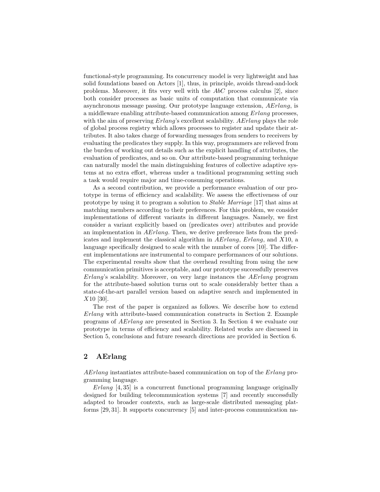functional-style programming. Its concurrency model is very lightweight and has solid foundations based on Actors [1], thus, in principle, avoids thread-and-lock problems. Moreover, it fits very well with the *AbC* process calculus [2], since both consider processes as basic units of computation that communicate via asynchronous message passing. Our prototype language extension, *AErlang*, is a middleware enabling attribute-based communication among *Erlang* processes, with the aim of preserving *Erlang*'s excellent scalability. *AErlang* plays the role of global process registry which allows processes to register and update their attributes. It also takes charge of forwarding messages from senders to receivers by evaluating the predicates they supply. In this way, programmers are relieved from the burden of working out details such as the explicit handling of attributes, the evaluation of predicates, and so on. Our attribute-based programming technique can naturally model the main distinguishing features of collective adaptive systems at no extra effort, whereas under a traditional programming setting such a task would require major and time-consuming operations.

As a second contribution, we provide a performance evaluation of our prototype in terms of efficiency and scalability. We assess the effectiveness of our prototype by using it to program a solution to *Stable Marriage* [17] that aims at matching members according to their preferences. For this problem, we consider implementations of different variants in different languages. Namely, we first consider a variant explicitly based on (predicates over) attributes and provide an implementation in *AErlang*. Then, we derive preference lists from the predicates and implement the classical algorithm in *AErlang*, *Erlang*, and *X*10, a language specifically designed to scale with the number of cores [10]. The different implementations are instrumental to compare performances of our solutions. The experimental results show that the overhead resulting from using the new communication primitives is acceptable, and our prototype successfully preserves *Erlang*'s scalability. Moreover, on very large instances the *AErlang* program for the attribute-based solution turns out to scale considerably better than a state-of-the-art parallel version based on adaptive search and implemented in *X*10 [30].

The rest of the paper is organized as follows. We describe how to extend *Erlang* with attribute-based communication constructs in Section 2. Example programs of *AErlang* are presented in Section 3. In Section 4 we evaluate our prototype in terms of efficiency and scalability. Related works are discussed in Section 5, conclusions and future research directions are provided in Section 6.

# **2 AErlang**

*AErlang* instantiates attribute-based communication on top of the *Erlang* programming language.

*Erlang* [4, 35] is a concurrent functional programming language originally designed for building telecommunication systems [7] and recently successfully adapted to broader contexts, such as large-scale distributed messaging platforms [29, 31]. It supports concurrency [5] and inter-process communication na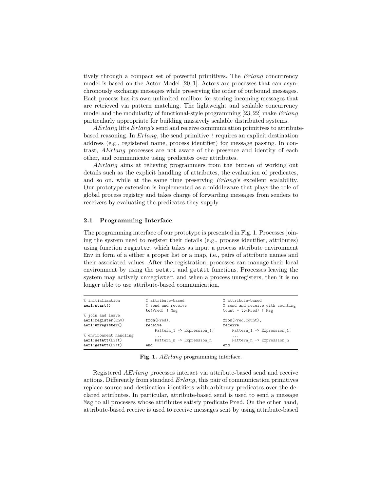tively through a compact set of powerful primitives. The *Erlang* concurrency model is based on the Actor Model [20, 1]. Actors are processes that can asynchronously exchange messages while preserving the order of outbound messages. Each process has its own unlimited mailbox for storing incoming messages that are retrieved via pattern matching. The lightweight and scalable concurrency model and the modularity of functional-style programming [23, 22] make *Erlang* particularly appropriate for building massively scalable distributed systems.

*AErlang* lifts *Erlang*'s send and receive communication primitives to attributebased reasoning. In *Erlang*, the send primitive ! requires an explicit destination address (e.g., registered name, process identifier) for message passing. In contrast, *AErlang* processes are not aware of the presence and identity of each other, and communicate using predicates over attributes.

*AErlang* aims at relieving programmers from the burden of working out details such as the explicit handling of attributes, the evaluation of predicates, and so on, while at the same time preserving *Erlang*'s excellent scalability. Our prototype extension is implemented as a middleware that plays the role of global process registry and takes charge of forwarding messages from senders to receivers by evaluating the predicates they supply.

#### **2.1 Programming Interface**

The programming interface of our prototype is presented in Fig. 1. Processes joining the system need to register their details (e.g., process identifier, attributes) using function register, which takes as input a process attribute environment Env in form of a either a proper list or a map, i.e., pairs of attribute names and their associated values. After the registration, processes can manage their local environment by using the setAtt and getAtt functions. Processes leaving the system may actively unregister, and when a process unregisters, then it is no longer able to use attribute-based communication.

| % initialization<br>aerl:start()                                  | % attribute-based<br>% send and receive<br>to (Pred) ! Msg                            | % attribute-based<br>% send and receive with counting<br>Count = $to(Pred)$ ! Msg     |
|-------------------------------------------------------------------|---------------------------------------------------------------------------------------|---------------------------------------------------------------------------------------|
| % join and leave<br>aer1:register(Env)<br>$a$ erl:unregister $()$ | from(Pred),<br>receive                                                                | from(Pred,Count),<br>receive                                                          |
| % environment handling<br>aerl:setAtt(List)<br>aerl:getAtt(List)  | Pattern $1 \rightarrow$ Expression 1;<br>$\cdots$<br>Pattern n -> Expression n<br>end | Pattern $1 \rightarrow$ Expression 1;<br>$\cdots$<br>Pattern n -> Expression n<br>end |

**Fig. 1.** *AErlang* programming interface.

Registered *AErlang* processes interact via attribute-based send and receive actions. Differently from standard *Erlang*, this pair of communication primitives replace source and destination identifiers with arbitrary predicates over the declared attributes. In particular, attribute-based send is used to send a message Msg to all processes whose attributes satisfy predicate Pred. On the other hand, attribute-based receive is used to receive messages sent by using attribute-based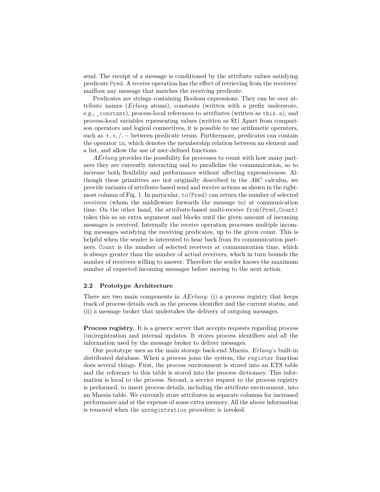send. The receipt of a message is conditioned by the attribute values satisfying predicate Pred. A receive operation has the effect of retrieving from the receivers' mailbox any message that matches the receiving predicate.

Predicates are strings containing Boolean expressions. They can be over attribute names (*Erlang* atoms), constants (written with a prefix underscore, e.g., constant), process-local references to attributes (written as this.a), and process-local variables representing values (written as \$X) Apart from comparison operators and logical connectives, it is possible to use arithmetic operators, such as +*,* ∗*, /,* − between predicate terms. Furthermore, predicates can contain the operator in, which denotes the membership relation between an element and a list, and allow the use of user-defined functions.

*AErlang* provides the possibility for processes to count with how many partners they are currently interacting and to parallelize the communication, so to increase both flexibility and performance without affecting expressiveness. Although these primitives are not originally described in the *AbC* calculus, we provide variants of attribute-based send and receive actions as shown in the rightmost column of Fig. 1. In particular, to(Pred) can return the number of selected receivers (whom the middleware forwards the message to) at communication time. On the other hand, the attribute-based multi-receive from(Pred,Count) takes this as an extra argument and blocks until the given amount of incoming messages is received. Internally the receive operation processes multiple incoming messages satisfying the receiving predicates, up to the given count. This is helpful when the sender is interested to hear back from its communication partners. Count is the number of selected receivers at communication time, which is always greater than the number of actual receivers, which in turn bounds the number of receivers willing to answer. Therefore the sender knows the maximum number of expected incoming messages before moving to the next action.

#### **2.2 Prototype Architecture**

There are two main components in *AErlang*: (i) a process registry that keeps track of process details such as the process identifier and the current status, and (ii) a message broker that undertakes the delivery of outgoing messages.

**Process registry.** It is a generic server that accepts requests regarding process (un)registration and internal updates. It stores process identifiers and all the information used by the message broker to deliver messages.

Our prototype uses as the main storage back-end Mnesia, *Erlang*'s built-in distributed database. When a process joins the system, the register function does several things. First, the process environment is stored into an ETS table and the reference to this table is stored into the process dictionary. This information is local to the process. Second, a service request to the process registry is performed, to insert process details, including the attribute environment, into an Mnesia table. We currently store attributes in separate columns for increased performance and at the expense of some extra memory. All the above information is removed when the unregistration procedure is invoked.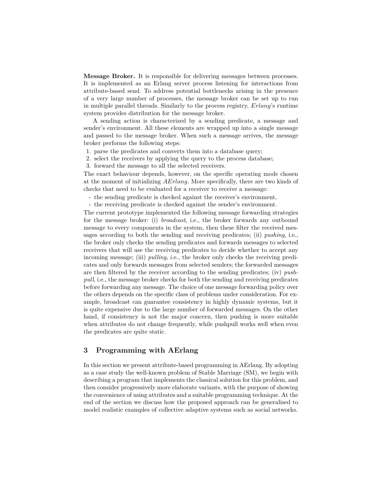**Message Broker.** It is responsible for delivering messages between processes. It is implemented as an Erlang server process listening for interactions from attribute-based send. To address potential bottlenecks arising in the presence of a very large number of processes, the message broker can be set up to run in multiple parallel threads. Similarly to the process registry, *Erlang*'s runtime system provides distribution for the message broker.

A sending action is characterized by a sending predicate, a message and sender's environment. All these elements are wrapped up into a single message and passed to the message broker. When such a message arrives, the message broker performs the following steps:

- 1. parse the predicates and converts them into a database query;
- 2. select the receivers by applying the query to the process database;
- 3. forward the message to all the selected receivers.

The exact behaviour depends, however, on the specific operating mode chosen at the moment of initializing *AErlang*. More specifically, there are two kinds of checks that need to be evaluated for a receiver to receive a message:

- the sending predicate is checked against the receiver's environment,
- the receiving predicate is checked against the sender's environment.

The current prototype implemented the following message forwarding strategies for the message broker: (i) *broadcast*, i.e., the broker forwards any outbound message to every components in the system, then these filter the received messages according to both the sending and receiving predicates; (ii) *pushing*, i.e., the broker only checks the sending predicates and forwards messages to selected receivers that will use the receiving predicates to decide whether to accept any incoming message; (iii) *pulling*, i.e., the broker only checks the receiving predicates and only forwards messages from selected senders; the forwarded messages are then filtered by the receiver according to the sending predicates; (iv) *pushpull*, i.e., the message broker checks for both the sending and receiving predicates before forwarding any message. The choice of one message forwarding policy over the others depends on the specific class of problems under consideration. For example, broadcast can guarantee consistency in highly dynamic systems, but it is quite expensive due to the large number of forwarded messages. On the other hand, if consistency is not the major concern, then pushing is more suitable when attributes do not change frequently, while pushpull works well when even the predicates are quite static.

# **3 Programming with AErlang**

In this section we present attribute-based programming in AErlang. By adopting as a case study the well-known problem of Stable Marriage (SM), we begin with describing a program that implements the classical solution for this problem, and then consider progressively more elaborate variants, with the purpose of showing the convenience of using attributes and a suitable programming technique. At the end of the section we discuss how the proposed approach can be generalised to model realistic examples of collective adaptive systems such as social networks.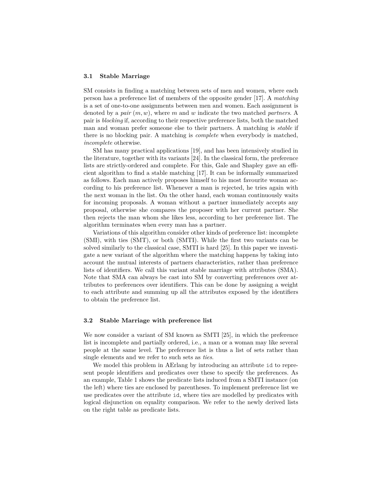#### **3.1 Stable Marriage**

SM consists in finding a matching between sets of men and women, where each person has a preference list of members of the opposite gender [17]. A *matching* is a set of one-to-one assignments between men and women. Each assignment is denoted by a *pair* (*m, w*), where *m* and *w* indicate the two matched *partners*. A pair is *blocking* if, according to their respective preference lists, both the matched man and woman prefer someone else to their partners. A matching is *stable* if there is no blocking pair. A matching is *complete* when everybody is matched, *incomplete* otherwise.

SM has many practical applications [19], and has been intensively studied in the literature, together with its variants [24]. In the classical form, the preference lists are strictly-ordered and complete. For this, Gale and Shapley gave an efficient algorithm to find a stable matching [17]. It can be informally summarized as follows. Each man actively proposes himself to his most favourite woman according to his preference list. Whenever a man is rejected, he tries again with the next woman in the list. On the other hand, each woman continuously waits for incoming proposals. A woman without a partner immediately accepts any proposal, otherwise she compares the proposer with her current partner. She then rejects the man whom she likes less, according to her preference list. The algorithm terminates when every man has a partner.

Variations of this algorithm consider other kinds of preference list: incomplete (SMI), with ties (SMT), or both (SMTI). While the first two variants can be solved similarly to the classical case, SMTI is hard [25]. In this paper we investigate a new variant of the algorithm where the matching happens by taking into account the mutual interests of partners characteristics, rather than preference lists of identifiers. We call this variant stable marriage with attributes (SMA). Note that SMA can always be cast into SM by converting preferences over attributes to preferences over identifiers. This can be done by assigning a weight to each attribute and summing up all the attributes exposed by the identifiers to obtain the preference list.

#### **3.2 Stable Marriage with preference list**

We now consider a variant of SM known as SMTI [25], in which the preference list is incomplete and partially ordered, i.e., a man or a woman may like several people at the same level. The preference list is thus a list of sets rather than single elements and we refer to such sets as *ties*.

We model this problem in AErlang by introducing an attribute id to represent people identifiers and predicates over these to specify the preferences. As an example, Table 1 shows the predicate lists induced from a SMTI instance (on the left) where ties are enclosed by parentheses. To implement preference list we use predicates over the attribute id, where ties are modelled by predicates with logical disjunction on equality comparison. We refer to the newly derived lists on the right table as predicate lists.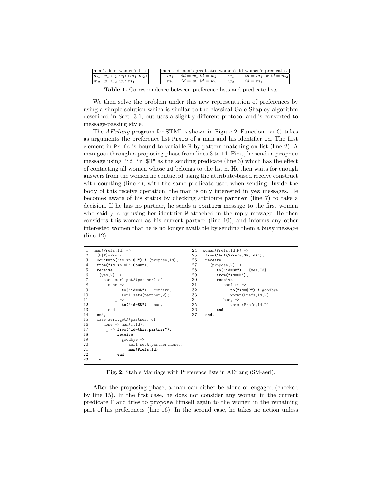|                            | men's lists women's lists           |                |                         |       | men's id men's predicates women's id women's predicates |
|----------------------------|-------------------------------------|----------------|-------------------------|-------|---------------------------------------------------------|
|                            | $ m_1: w_1 \ w_2 w_1: (m_1 \ m_2) $ | m <sub>1</sub> | $id = w_1.id = w_2$     | $w_1$ | $id = m_1$ or $id = m_2$                                |
| $ m_2; w_1  w_2  w_2; m_1$ |                                     | m <sub>2</sub> | $id = w_1$ , $id = w_2$ | $w_2$ | $id = m_1$                                              |
|                            |                                     |                |                         |       |                                                         |

**Table 1.** Correspondence between preference lists and predicate lists

We then solve the problem under this new representation of preferences by using a simple solution which is similar to the classical Gale-Shapley algorithm described in Sect. 3.1, but uses a slightly different protocol and is converted to message-passing style.

The *AErlang* program for STMI is shown in Figure 2. Function man() takes as arguments the preference list Prefs of a man and his identifier Id. The first element in Prefs is bound to variable H by pattern matching on list (line 2). A man goes through a proposing phase from lines 3 to 14. First, he sends a propose message using "id in \$H" as the sending predicate (line 3) which has the effect of contacting all women whose id belongs to the list H. He then waits for enough answers from the women he contacted using the attribute-based receive construct with counting (line 4), with the same predicate used when sending. Inside the body of this receive operation, the man is only interested in yes messages. He becomes aware of his status by checking attribute partner (line 7) to take a decision. If he has no partner, he sends a confirm message to the first woman who said yes by using her identifier W attached in the reply message. He then considers this woman as his current partner (line 10), and informs any other interested women that he is no longer available by sending them a busy message (line 12).

```
1 man(Prefs,Id) -><br>2 [H|T]=Prefs
 2 [H|T] = Prefs<br>3 Count=to("i)
 3 Count=to("id in $H") ! {propose,Id},
       4 from("id in $H",Count),
 5 receive<br>6 {yes,W
 6 {yes, W} -><br>7 case aer
 7 case aerl:getA(partner) of<br>8 none ->
 \begin{array}{ccc} 8 & \text{none} & \rightarrow \\ 9 & & \text{t} \end{array}9 to("id=$W") ! confirm,<br>10 aerl:setA(partner,W);
10 aerl:setA(partner, W);<br>11 ->
11 -12 to("id=$W") ! busy
13 end,<br>14 end,
       14 end,
15 case aerl:getA(partner) of<br>16 none -> man(T,Id);
16 none \rightarrow man(T,Id);<br>17 \rightarrow from("id=thi
17 - -> from("id=this.partner"),<br>18 receive
18 receive<br>19 receive
19 goodbye -> goodbye -> aerl:se
20 aerl:setA(partner,none),<br>21 man(Prefs,Id)
21 man(Prefs,Id)
22 end
        end
                                                             24 woman(Prefs, Id, P) \rightarrow 25 from ("bof($Prefs.$F
                                                             25 from("bof($Prefs,$P,id)"),
                                                             26 receive
                                                                       27 {propose,M} ->
                                                             28 \text{to("id=\$M")} ! {yes, Id},<br>29 \text{from("id=\$M")}29 from("id=$M"),
                                                                           30 receive
                                                             31 confirm \rightarrow<br>32 to ("id=
                                                                                  32 to("id=$P") ! goodbye,
                                                             33 woman(Prefs,Id,M)<br>34 busy ->
                                                             34 busy \rightarrow<br>35 woma
                                                             35 woman(Prefs,Id,P)<br>36 end
                                                             36 end
                                                                    37 end.
```
**Fig. 2.** Stable Marriage with Preference lists in AErlang (SM-aerl).

After the proposing phase, a man can either be alone or engaged (checked by line 15). In the first case, he does not consider any woman in the current predicate H and tries to propose himself again to the women in the remaining part of his preferences (line 16). In the second case, he takes no action unless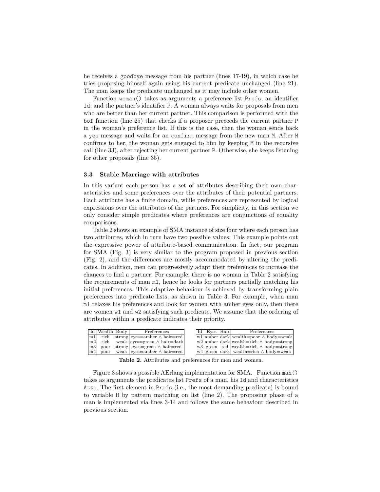he receives a goodbye message from his partner (lines 17-19), in which case he tries proposing himself again using his current predicate unchanged (line 21). The man keeps the predicate unchanged as it may include other women.

Function woman() takes as arguments a preference list Prefs, an identifier Id, and the partner's identifier P. A woman always waits for proposals from men who are better than her current partner. This comparison is performed with the bof function (line 25) that checks if a proposer preceeds the current partner P in the woman's preference list. If this is the case, then the woman sends back a yes message and waits for an confirm message from the new man M. After M confirms to her, the woman gets engaged to him by keeping M in the recursive call (line 33), after rejecting her current partner P. Otherwise, she keeps listening for other proposals (line 35).

#### **3.3 Stable Marriage with attributes**

In this variant each person has a set of attributes describing their own characteristics and some preferences over the attributes of their potential partners. Each attribute has a finite domain, while preferences are represented by logical expressions over the attributes of the partners. For simplicity, in this section we only consider simple predicates where preferences are conjunctions of equality comparisons.

Table 2 shows an example of SMA instance of size four where each person has two attributes, which in turn have two possible values. This example points out the expressive power of attribute-based communication. In fact, our program for SMA (Fig. 3) is very similar to the program proposed in previous section (Fig. 2), and the differences are mostly accommodated by altering the predicates. In addition, men can progressively adapt their preferences to increase the chances to find a partner. For example, there is no woman in Table 2 satisfying the requirements of man m1, hence he looks for partners partially matching his initial preferences. This adaptive behaviour is achieved by transforming plain preferences into predicate lists, as shown in Table 3. For example, when man m1 relaxes his preferences and look for women with amber eyes only, then there are women w1 and w2 satisfying such predicate. We assume that the ordering of attributes within a predicate indicates their priority.

|  | Id   Wealth Body   Preferences                     |  |  | Id   Eyes Hair   Preferences                       |
|--|----------------------------------------------------|--|--|----------------------------------------------------|
|  | $ m1 $ rich strong eyes = amber $\land$ hair = red |  |  | $w1$ amber dark wealth=poor $\wedge$ body=weak     |
|  | $ m2 $ rich weak eyes=green $\wedge$ hair=dark     |  |  | $ w2 $ amber dark wealth=rich $\wedge$ body=strong |
|  | $ m3 $ poor strong eyes=green $\wedge$ hair=red    |  |  | $ w3 $ green red  wealth=rich $\land$ body=strong  |
|  | $ m4 $ poor weak eyes=amber $\land$ hair=red       |  |  | $ w4 $ green dark wealth=rich $\wedge$ body=weak   |

**Table 2.** Attributes and preferences for men and women.

Figure 3 shows a possible AErlang implementation for SMA. Function man() takes as arguments the predicates list Prefs of a man, his Id and characteristics Atts. The first element in Prefs (i.e., the most demanding predicate) is bound to variable H by pattern matching on list (line 2). The proposing phase of a man is implemented via lines 3-14 and follows the same behaviour described in previous section.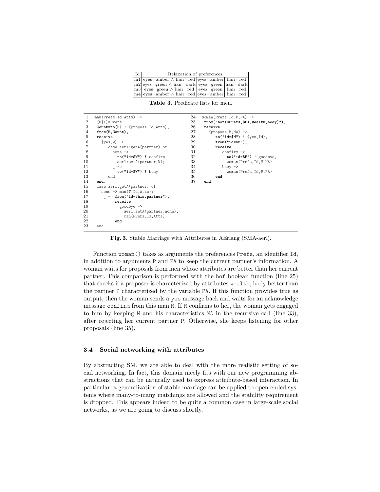| $\pm$ Id $\pm$ | Relaxation of preferences                                   |  |  |  |  |  |  |  |  |
|----------------|-------------------------------------------------------------|--|--|--|--|--|--|--|--|
|                | $ m1 $ eyes=amber $\land$ hair=red eyes=amber hair=red      |  |  |  |  |  |  |  |  |
|                | $ m2 $ eyes=green $\wedge$ hair=dark eyes=green   hair=dark |  |  |  |  |  |  |  |  |
|                | $ m3 $ eyes=green $\wedge$ hair=red   eyes=green   hair=red |  |  |  |  |  |  |  |  |
|                | $ m4 $ eyes=amber $\land$ hair=red   eyes=amber   hair=red  |  |  |  |  |  |  |  |  |

**Table 3.** Predicate lists for men.

| 1              | $man(Prefs, Id, Atts)$ ->              | 24 | $woman(Prefs, Id, P, PA)$ ->           |
|----------------|----------------------------------------|----|----------------------------------------|
| $\overline{2}$ | $[H T] = \Prefs$ ,                     | 25 | from("bof(\$Prefs,\$PA,wealth,body)"), |
| 3              | Count=to(H) ! {propose, Id, Atts},     | 26 | receive                                |
| $\overline{4}$ | $from (H, Count)$ ,                    | 27 | ${propose, M, MA} \rightarrow$         |
| 5              | receive                                | 28 | $to("id=\$ M") ! $\{yes, Id\}$ ,       |
| 6              | $\{ves, W\}$ ->                        | 29 | $from('id=\$M")$ ,                     |
| 7              | case aerl:getA(partner) of             | 30 | receive                                |
| 8              | $none$ $\rightarrow$                   | 31 | $confirm$ $\rightarrow$                |
| 9              | $to("id=\n$ W") ! confirm,             | 32 | $to("id = $P")$ ! goodbye,             |
| 10             | aerl:setA(partner,W);                  | 33 | woman (Prefs, Id, M, MA)               |
| 11             | $\overline{\phantom{0}}$ $\rightarrow$ | 34 | busy $\rightarrow$                     |
| 12             | $to("id=\$ W") ! busv                  | 35 | woman (Prefs, Id, P, PA)               |
| 13             | end                                    | 36 | end                                    |
| 14             | end,                                   | 37 | end.                                   |
| 15             | case aerl:getA(partner) of             |    |                                        |
| 16             | none $\rightarrow$ man(T, Id, Atts);   |    |                                        |
| 17             | -> from("id=this.partner"),            |    |                                        |
| 18             | receive                                |    |                                        |
| 19             | $goodbye$ ->                           |    |                                        |
| 20             | aerl:setA(partner,none),               |    |                                        |
| 21             | man(Prefs, Id, Atts)                   |    |                                        |
| 22             | end                                    |    |                                        |
| 23             | end.                                   |    |                                        |

**Fig. 3.** Stable Marriage with Attributes in AErlang (SMA-aerl).

Function woman() takes as arguments the preferences Prefs, an identifier Id, in addition to arguments P and PA to keep the current partner's information. A woman waits for proposals from men whose attributes are better than her current partner. This comparison is performed with the bof boolean function (line 25) that checks if a proposer is characterized by attributes wealth, body better than the partner P characterized by the variable PA. If this function provides true as output, then the woman sends a yes message back and waits for an acknowledge message confirm from this man M. If M confirms to her, the woman gets engaged to him by keeping M and his characteristics MA in the recursive call (line 33), after rejecting her current partner P. Otherwise, she keeps listening for other proposals (line 35).

#### **3.4 Social networking with attributes**

By abstracting SM, we are able to deal with the more realistic setting of social networking. In fact, this domain nicely fits with our new programming abstractions that can be naturally used to express attribute-based interaction. In particular, a generalization of stable marriage can be applied to open-ended systems where many-to-many matchings are allowed and the stability requirement is dropped. This appears indeed to be quite a common case in large-scale social networks, as we are going to discuss shortly.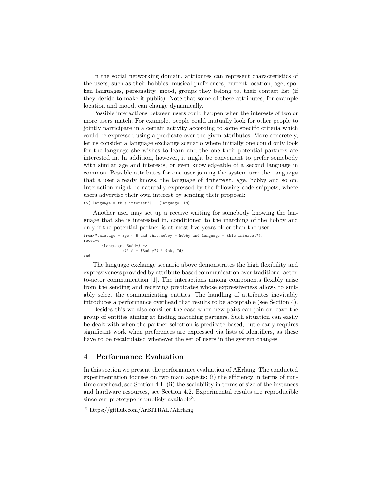In the social networking domain, attributes can represent characteristics of the users, such as their hobbies, musical preferences, current location, age, spoken languages, personality, mood, groups they belong to, their contact list (if they decide to make it public). Note that some of these attributes, for example location and mood, can change dynamically.

Possible interactions between users could happen when the interests of two or more users match. For example, people could mutually look for other people to jointly participate in a certain activity according to some specific criteria which could be expressed using a predicate over the given attributes. More concretely, let us consider a language exchange scenario where initially one could only look for the language she wishes to learn and the one their potential partners are interested in. In addition, however, it might be convenient to prefer somebody with similar age and interests, or even knowledgeable of a second language in common. Possible attributes for one user joining the system are: the language that a user already knows, the language of interest, age, hobby and so on. Interaction might be naturally expressed by the following code snippets, where users advertise their own interest by sending their proposal:

to("language = this.interest") ! {Language, Id}

Another user may set up a receive waiting for somebody knowing the language that she is interested in, conditioned to the matching of the hobby and only if the potential partner is at most five years older than the user: from("this.age - age < 5 and this.hobby = hobby and language = this.interest"), receive {Language, Buddy} ->  $to("id = $Buddy")$  !  $\{ok, Id\}$ 

end

The language exchange scenario above demonstrates the high flexibility and expressiveness provided by attribute-based communication over traditional actorto-actor communication [1]. The interactions among components flexibly arise from the sending and receiving predicates whose expressiveness allows to suitably select the communicating entities. The handling of attributes inevitably introduces a performance overhead that results to be acceptable (see Section 4).

Besides this we also consider the case when new pairs can join or leave the group of entities aiming at finding matching partners. Such situation can easily be dealt with when the partner selection is predicate-based, but clearly requires significant work when preferences are expressed via lists of identifiers, as these have to be recalculated whenever the set of users in the system changes.

## **4 Performance Evaluation**

In this section we present the performance evaluation of AErlang. The conducted experimentation focuses on two main aspects: (i) the efficiency in terms of runtime overhead, see Section 4.1; (ii) the scalability in terms of size of the instances and hardware resources, see Section 4.2. Experimental results are reproducible since our prototype is publicly available<sup>3</sup>.

<sup>3</sup> https://github.com/ArBITRAL/AErlang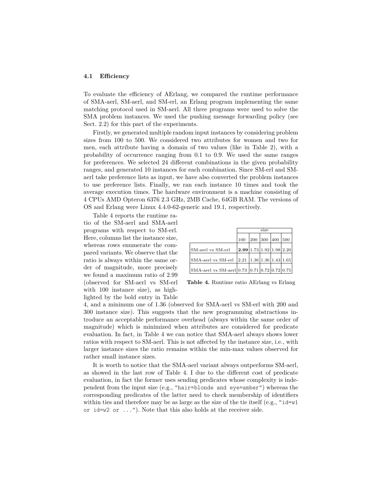#### **4.1 Efficiency**

To evaluate the efficiency of AErlang, we compared the runtime performance of SMA-aerl, SM-aerl, and SM-erl, an Erlang program implementing the same matching protocol used in SM-aerl. All three programs were used to solve the SMA problem instances. We used the pushing message forwarding policy (see Sect. 2.2) for this part of the experiments.

Firstly, we generated multiple random input instances by considering problem sizes from 100 to 500. We considered two attributes for women and two for men, each attribute having a domain of two values (like in Table 2), with a probability of occurrence ranging from 0.1 to 0.9. We used the same ranges for preferences. We selected 24 different combinations in the given probability ranges, and generated 10 instances for each combination. Since SM-erl and SMaerl take preference lists as input, we have also converted the problem instances to use preference lists. Finally, we ran each instance 10 times and took the average execution times. The hardware environment is a machine consisting of 4 CPUs AMD Opteron 6376 2.3 GHz, 2MB Cache, 64GB RAM. The versions of OS and Erlang were Linux 4.4.0-62-generic and 19.1, respectively.

Table 4 reports the runtime ratio of the SM-aerl and SMA-aerl programs with respect to SM-erl. Here, columns list the instance size, whereas rows enumerate the compared variants. We observe that the ratio is always within the same order of magnitude, more precisely we found a maximum ratio of 2.99 (observed for SM-aerl vs SM-erl with 100 instance size), as highlighted by the bold entry in Table

|                                                 | size                     |     |             |  |  |  |  |  |
|-------------------------------------------------|--------------------------|-----|-------------|--|--|--|--|--|
|                                                 | 100                      | 200 | 300 400 500 |  |  |  |  |  |
| SM-aerl vs SM-erl                               | 2.99 1.73 1.92 1.98 2.20 |     |             |  |  |  |  |  |
| SMA-aerl vs SM-erl 2.21 1.36 1.36 1.43 1.65     |                          |     |             |  |  |  |  |  |
| SMA-aerl vs SM-aerl 0.73 $ 0.71 0.72 0.72 0.75$ |                          |     |             |  |  |  |  |  |

**Table 4.** Runtime ratio AErlang vs Erlang

4, and a minimum one of 1.36 (observed for SMA-aerl vs SM-erl with 200 and 300 instance size). This suggests that the new programming abstractions introduce an acceptable performance overhead (always within the same order of magnitude) which is minimized when attributes are considered for predicate evaluation. In fact, in Table 4 we can notice that SMA-aerl always shows lower ratios with respect to SM-aerl. This is not affected by the instance size, i.e., with larger instance sizes the ratio remains within the min-max values observed for rather small instance sizes.

It is worth to notice that the SMA-aerl variant always outperforms SM-aerl, as showed in the last row of Table 4. I due to the different cost of predicate evaluation, in fact the former uses sending predicates whose complexity is independent from the input size (e.g., "hair=blonde and eye=amber") whereas the corresponding predicates of the latter need to check membership of identifiers within ties and therefore may be as large as the size of the tie itself (e.g., "id=w1) or id=w2 or ..."). Note that this also holds at the receiver side.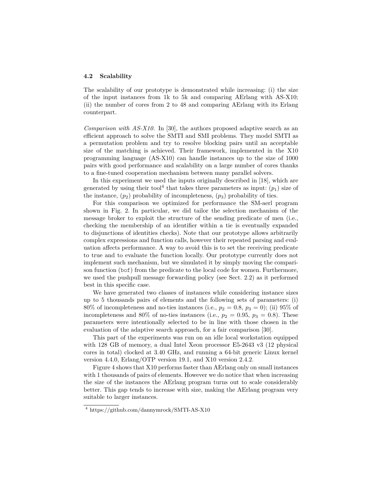#### **4.2 Scalability**

The scalability of our prototype is demonstrated while increasing: (i) the size of the input instances from 1k to 5k and comparing AErlang with AS-X10; (ii) the number of cores from 2 to 48 and comparing AErlang with its Erlang counterpart.

*Comparison with AS-X10.* In [30], the authors proposed adaptive search as an efficient approach to solve the SMTI and SMI problems. They model SMTI as a permutation problem and try to resolve blocking pairs until an acceptable size of the matching is achieved. Their framework, implemented in the X10 programming language (AS-X10) can handle instances up to the size of 1000 pairs with good performance and scalability on a large number of cores thanks to a fine-tuned cooperation mechanism between many parallel solvers.

In this experiment we used the inputs originally described in [18], which are generated by using their tool<sup>4</sup> that takes three parameters as input:  $(p_1)$  size of the instance,  $(p_2)$  probability of incompleteness,  $(p_3)$  probability of ties.

For this comparison we optimized for performance the SM-aerl program shown in Fig. 2. In particular, we did tailor the selection mechanism of the message broker to exploit the structure of the sending predicate of men (i.e., checking the membership of an identifier within a tie is eventually expanded to disjunctions of identities checks). Note that our prototype allows arbitrarily complex expressions and function calls, however their repeated parsing and evaluation affects performance. A way to avoid this is to set the receiving predicate to true and to evaluate the function locally. Our prototype currently does not implement such mechanism, but we simulated it by simply moving the comparison function (bof) from the predicate to the local code for women. Furthermore, we used the pushpull message forwarding policy (see Sect. 2.2) as it performed best in this specific case.

We have generated two classes of instances while considering instance sizes up to 5 thousands pairs of elements and the following sets of parameters: (i) 80% of incompleteness and no-ties instances (i.e.,  $p_2 = 0.8$ ,  $p_3 = 0$ ); (ii) 95% of incompleteness and 80% of no-ties instances (i.e.,  $p_2 = 0.95$ ,  $p_3 = 0.8$ ). These parameters were intentionally selected to be in line with those chosen in the evaluation of the adaptive search approach, for a fair comparison [30].

This part of the experiments was run on an idle local workstation equipped with 128 GB of memory, a dual Intel Xeon processor E5-2643 v3 (12 physical cores in total) clocked at 3.40 GHz, and running a 64-bit generic Linux kernel version 4.4.0, Erlang/OTP version 19.1, and X10 version 2.4.2.

Figure 4 shows that X10 performs faster than AErlang only on small instances with 1 thousands of pairs of elements. However we do notice that when increasing the size of the instances the AErlang program turns out to scale considerably better. This gap tends to increase with size, making the AErlang program very suitable to larger instances.

<sup>4</sup> https://github.com/dannymrock/SMTI-AS-X10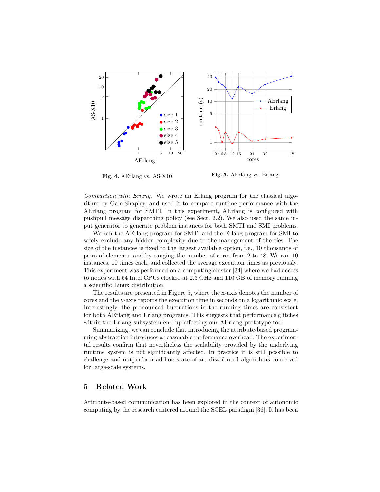

**Fig. 4.** AErlang vs. AS-X10

**Fig. 5.** AErlang vs. Erlang

*Comparison with Erlang.* We wrote an Erlang program for the classical algorithm by Gale-Shapley, and used it to compare runtime performance with the AErlang program for SMTI. In this experiment, AErlang is configured with pushpull message dispatching policy (see Sect. 2.2). We also used the same input generator to generate problem instances for both SMTI and SMI problems.

We ran the AErlang program for SMTI and the Erlang program for SMI to safely exclude any hidden complexity due to the management of the ties. The size of the instances is fixed to the largest available option, i.e., 10 thousands of pairs of elements, and by ranging the number of cores from 2 to 48. We ran 10 instances, 10 times each, and collected the average execution times as previously. This experiment was performed on a computing cluster [34] where we had access to nodes with 64 Intel CPUs clocked at 2.3 GHz and 110 GB of memory running a scientific Linux distribution.

The results are presented in Figure 5, where the x-axis denotes the number of cores and the y-axis reports the execution time in seconds on a logarithmic scale. Interestingly, the pronounced fluctuations in the running times are consistent for both AErlang and Erlang programs. This suggests that performance glitches within the Erlang subsystem end up affecting our AErlang prototype too.

Summarizing, we can conclude that introducing the attribute-based programming abstraction introduces a reasonable performance overhead. The experimental results confirm that nevertheless the scalability provided by the underlying runtime system is not significantly affected. In practice it is still possible to challenge and outperform ad-hoc state-of-art distributed algorithms conceived for large-scale systems.

# **5 Related Work**

Attribute-based communication has been explored in the context of autonomic computing by the research centered around the SCEL paradigm [36]. It has been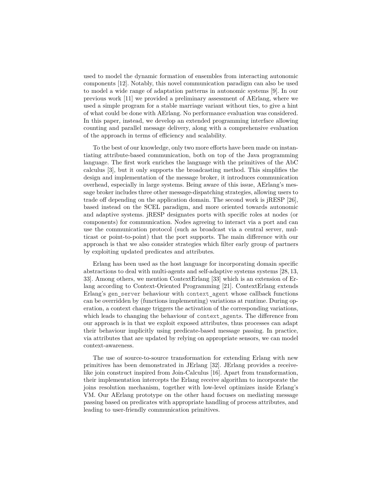used to model the dynamic formation of ensembles from interacting autonomic components [12]. Notably, this novel communication paradigm can also be used to model a wide range of adaptation patterns in autonomic systems [9]. In our previous work [11] we provided a preliminary assessment of AErlang, where we used a simple program for a stable marriage variant without ties, to give a hint of what could be done with AErlang. No performance evaluation was considered. In this paper, instead, we develop an extended programming interface allowing counting and parallel message delivery, along with a comprehensive evaluation of the approach in terms of efficiency and scalability.

To the best of our knowledge, only two more efforts have been made on instantiating attribute-based communication, both on top of the Java programming language. The first work enriches the language with the primitives of the AbC calculus [3], but it only supports the broadcasting method. This simplifies the design and implementation of the message broker, it introduces communication overhead, especially in large systems. Being aware of this issue, AErlang's message broker includes three other message-dispatching strategies, allowing users to trade off depending on the application domain. The second work is jRESP [26], based instead on the SCEL paradigm, and more oriented towards autonomic and adaptive systems. jRESP designates ports with specific roles at nodes (or components) for communication. Nodes agreeing to interact via a port and can use the communication protocol (such as broadcast via a central server, multicast or point-to-point) that the port supports. The main difference with our approach is that we also consider strategies which filter early group of partners by exploiting updated predicates and attributes.

Erlang has been used as the host language for incorporating domain specific abstractions to deal with multi-agents and self-adaptive systems systems [28, 13, 33]. Among others, we mention ContextErlang [33] which is an extension of Erlang according to Context-Oriented Programming [21]. ContextErlang extends Erlang's gen\_server behaviour with context\_agent whose callback functions can be overridden by (functions implementing) variations at runtime. During operation, a context change triggers the activation of the corresponding variations, which leads to changing the behaviour of context agents. The difference from our approach is in that we exploit exposed attributes, thus processes can adapt their behaviour implicitly using predicate-based message passing. In practice, via attributes that are updated by relying on appropriate sensors, we can model context-awareness.

The use of source-to-source transformation for extending Erlang with new primitives has been demonstrated in JErlang [32]. JErlang provides a receivelike join construct inspired from Join-Calculus [16]. Apart from transformation, their implementation intercepts the Erlang receive algorithm to incorporate the joins resolution mechanism, together with low-level optimizes inside Erlang's VM. Our AErlang prototype on the other hand focuses on mediating message passing based on predicates with appropriate handling of process attributes, and leading to user-friendly communication primitives.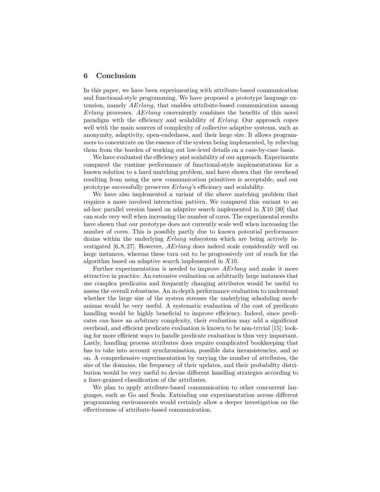### **6 Conclusion**

In this paper, we have been experimenting with attribute-based communication and functional-style programming. We have proposed a prototype language extension, namely *AErlang*, that enables attribute-based communication among *Erlang* processes. *AErlang* conveniently combines the benefits of this novel paradigm with the efficiency and scalability of *Erlang*. Our approach copes well with the main sources of complexity of collective adaptive systems, such as anonymity, adaptivity, open-endedness, and their large size. It allows programmers to concentrate on the essence of the system being implemented, by relieving them from the burden of working out low-level details on a case-by-case basis.

We have evaluated the efficiency and scalability of our approach. Experiments compared the runtime performance of functional-style implementations for a known solution to a hard matching problem, and have shown that the overhead resulting from using the new communication primitives is acceptable, and our prototype successfully preserves *Erlang*'s efficiency and scalability.

We have also implemented a variant of the above matching problem that requires a more involved interaction pattern. We compared this variant to an ad-hoc parallel version based on adaptive search implemented in *X*10 [30] that can scale very well when increasing the number of cores. The experimental results have shown that our prototype does not currently scale well when increasing the number of cores. This is possibly partly due to known potential performance drains within the underlying *Erlang* subsystem which are being actively investigated [6, 8, 27]. However, *AErlang* does indeed scale considerably well on large instances, whereas these turn out to be progressively out of reach for the algorithm based on adaptive search implemented in *X*10.

Further experimentation is needed to improve *AErlang* and make it more attractive in practice. An extensive evaluation on arbitrarily large instances that use complex predicates and frequently changing attributes would be useful to assess the overall robustness. An in-depth performance evaluation to understand whether the large size of the system stresses the underlying scheduling mechanisms would be very useful. A systematic evaluation of the cost of predicate handling would be highly beneficial to improve efficiency. Indeed, since predicates can have an arbitrary complexity, their evaluation may add a significant overhead, and efficient predicate evaluation is known to be non-trivial [15]; looking for more efficient ways to handle predicate evaluation is thus very important. Lastly, handling process attributes does require complicated bookkeeping that has to take into account synchronisation, possible data inconsistencies, and so on. A comprehensive experimentation by varying the number of attributes, the size of the domains, the frequency of their updates, and their probability distribution would be very useful to devise different handling strategies according to a finer-grained classification of the attributes.

We plan to apply attribute-based communication to other concurrent languages, such as Go and Scala. Extending our experimentation across different programming environments would certainly allow a deeper investigation on the effectiveness of attribute-based communication.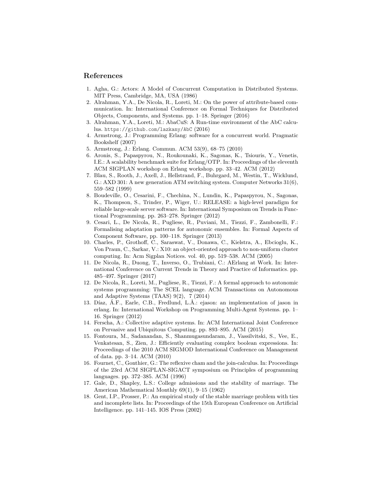### **References**

- 1. Agha, G.: Actors: A Model of Concurrent Computation in Distributed Systems. MIT Press, Cambridge, MA, USA (1986)
- 2. Alrahman, Y.A., De Nicola, R., Loreti, M.: On the power of attribute-based communication. In: International Conference on Formal Techniques for Distributed Objects, Components, and Systems. pp. 1–18. Springer (2016)
- 3. Alrahman, Y.A., Loreti, M.: AbaCuS: A Run-time environment of the AbC calculus. https://github.com/lazkany/AbC (2016)
- 4. Armstrong, J.: Programming Erlang: software for a concurrent world. Pragmatic Bookshelf (2007)
- 5. Armstrong, J.: Erlang. Commun. ACM 53(9), 68–75 (2010)
- 6. Aronis, S., Papaspyrou, N., Roukounaki, K., Sagonas, K., Tsiouris, Y., Venetis, I.E.: A scalability benchmark suite for Erlang/OTP. In: Proceedings of the eleventh ACM SIGPLAN workshop on Erlang workshop. pp. 33–42. ACM (2012)
- 7. Blau, S., Rooth, J., Axell, J., Hellstrand, F., Buhrgard, M., Westin, T., Wicklund, G.: AXD 301: A new generation ATM switching system. Computer Networks 31(6), 559–582 (1999)
- 8. Boudeville, O., Cesarini, F., Chechina, N., Lundin, K., Papaspyrou, N., Sagonas, K., Thompson, S., Trinder, P., Wiger, U.: RELEASE: a high-level paradigm for reliable large-scale server software. In: International Symposium on Trends in Functional Programming. pp. 263–278. Springer (2012)
- 9. Cesari, L., De Nicola, R., Pugliese, R., Puviani, M., Tiezzi, F., Zambonelli, F.: Formalising adaptation patterns for autonomic ensembles. In: Formal Aspects of Component Software, pp. 100–118. Springer (2013)
- 10. Charles, P., Grothoff, C., Saraswat, V., Donawa, C., Kielstra, A., Ebcioglu, K., Von Praun, C., Sarkar, V.: X10: an object-oriented approach to non-uniform cluster computing. In: Acm Sigplan Notices. vol. 40, pp. 519–538. ACM (2005)
- 11. De Nicola, R., Duong, T., Inverso, O., Trubiani, C.: AErlang at Work. In: International Conference on Current Trends in Theory and Practice of Informatics. pp. 485–497. Springer (2017)
- 12. De Nicola, R., Loreti, M., Pugliese, R., Tiezzi, F.: A formal approach to autonomic systems programming: The SCEL language. ACM Transactions on Autonomous and Adaptive Systems (TAAS) 9(2), 7 (2014)
- 13. Díaz, Á.F., Earle, C.B., Fredlund, L.Å.: ejason: an implementation of jason in erlang. In: International Workshop on Programming Multi-Agent Systems. pp. 1– 16. Springer (2012)
- 14. Ferscha, A.: Collective adaptive systems. In: ACM International Joint Conference on Pervasive and Ubiquitous Computing. pp. 893–895. ACM (2015)
- 15. Fontoura, M., Sadanandan, S., Shanmugasundaram, J., Vassilvitski, S., Vee, E., Venkatesan, S., Zien, J.: Efficiently evaluating complex boolean expressions. In: Proceedings of the 2010 ACM SIGMOD International Conference on Management of data. pp. 3–14. ACM (2010)
- 16. Fournet, C., Gonthier, G.: The reflexive cham and the join-calculus. In: Proceedings of the 23rd ACM SIGPLAN-SIGACT symposium on Principles of programming languages. pp. 372–385. ACM (1996)
- 17. Gale, D., Shapley, L.S.: College admissions and the stability of marriage. The American Mathematical Monthly 69(1), 9–15 (1962)
- 18. Gent, I.P., Prosser, P.: An empirical study of the stable marriage problem with ties and incomplete lists. In: Proceedings of the 15th European Conference on Artificial Intelligence. pp. 141–145. IOS Press (2002)